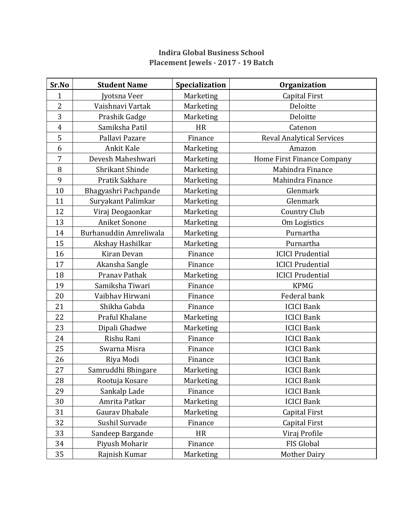## **Indira Global Business School Placement Jewels - 2017 - 19 Batch**

| Sr.No          | <b>Student Name</b>    | Specialization | <b>Organization</b>              |
|----------------|------------------------|----------------|----------------------------------|
| $\mathbf{1}$   | Jyotsna Veer           | Marketing      | <b>Capital First</b>             |
| 2              | Vaishnavi Vartak       | Marketing      | Deloitte                         |
| 3              | Prashik Gadge          | Marketing      | Deloitte                         |
| $\overline{4}$ | Samiksha Patil         | <b>HR</b>      | Catenon                          |
| 5              | Pallavi Pazare         | Finance        | <b>Reval Analytical Services</b> |
| 6              | Ankit Kale             | Marketing      | Amazon                           |
| $\overline{7}$ | Devesh Maheshwari      | Marketing      | Home First Finance Company       |
| 8              | Shrikant Shinde        | Marketing      | Mahindra Finance                 |
| 9              | Pratik Sakhare         | Marketing      | Mahindra Finance                 |
| 10             | Bhagyashri Pachpande   | Marketing      | Glenmark                         |
| 11             | Suryakant Palimkar     | Marketing      | Glenmark                         |
| 12             | Viraj Deogaonkar       | Marketing      | <b>Country Club</b>              |
| 13             | <b>Aniket Sonone</b>   | Marketing      | Om Logistics                     |
| 14             | Burhanuddin Amreliwala | Marketing      | Purnartha                        |
| 15             | Akshay Hashilkar       | Marketing      | Purnartha                        |
| 16             | Kiran Devan            | Finance        | <b>ICICI Prudential</b>          |
| 17             | Akansha Sangle         | Finance        | <b>ICICI Prudential</b>          |
| 18             | Pranav Pathak          | Marketing      | <b>ICICI Prudential</b>          |
| 19             | Samiksha Tiwari        | Finance        | <b>KPMG</b>                      |
| 20             | Vaibhav Hirwani        | Finance        | Federal bank                     |
| 21             | Shikha Gabda           | Finance        | <b>ICICI Bank</b>                |
| 22             | Praful Khalane         | Marketing      | <b>ICICI Bank</b>                |
| 23             | Dipali Ghadwe          | Marketing      | <b>ICICI Bank</b>                |
| 24             | Rishu Rani             | Finance        | <b>ICICI Bank</b>                |
| 25             | Swarna Misra           | Finance        | <b>ICICI Bank</b>                |
| 26             | Riya Modi              | Finance        | <b>ICICI Bank</b>                |
| 27             | Samruddhi Bhingare     | Marketing      | <b>ICICI Bank</b>                |
| 28             | Rootuja Kosare         | Marketing      | <b>ICICI Bank</b>                |
| 29             | Sankalp Lade           | Finance        | <b>ICICI Bank</b>                |
| 30             | Amrita Patkar          | Marketing      | <b>ICICI Bank</b>                |
| 31             | Gaurav Dhabale         | Marketing      | <b>Capital First</b>             |
| 32             | Sushil Survade         | Finance        | Capital First                    |
| 33             | Sandeep Bargande       | <b>HR</b>      | Viraj Profile                    |
| 34             | Piyush Moharir         | Finance        | FIS Global                       |
| 35             | Rajnish Kumar          | Marketing      | <b>Mother Dairy</b>              |